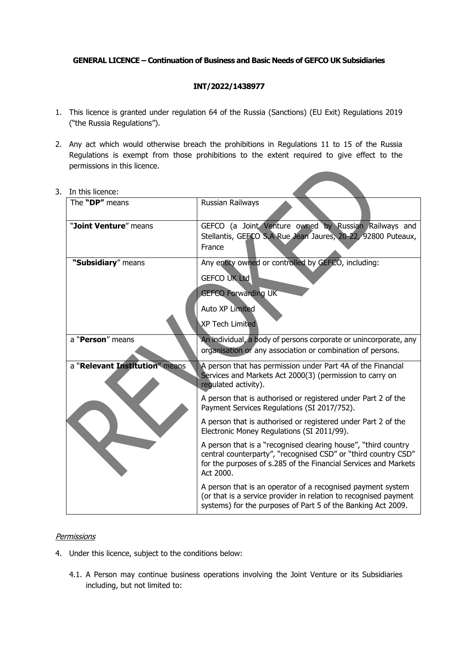## **GENERAL LICENCE – Continuation of Business and Basic Needs of GEFCO UK Subsidiaries**

# **INT/2022/1438977**

- 1. This licence is granted under regulation 64 of the Russia (Sanctions) (EU Exit) Regulations 2019 ("the Russia Regulations").
- 2. Any act which would otherwise breach the prohibitions in Regulations 11 to 15 of the Russia Regulations is exempt from those prohibitions to the extent required to give effect to the permissions in this licence.

| III UIIS IICEIICE.             |                                                                                                                                                                                                                  |
|--------------------------------|------------------------------------------------------------------------------------------------------------------------------------------------------------------------------------------------------------------|
| The "DP" means                 | Russian Railways                                                                                                                                                                                                 |
| "Joint Venture" means          | GEFCO (a Joint Venture owned by Russian Railways and<br>Stellantis, GEFCO S.A Rue Jean Jaures, 20-22, 92800 Puteaux,<br>France                                                                                   |
| "Subsidiary" means             | Any entity owned or controlled by GEFCO, including:<br><b>GEFCO UK Ltd</b><br><b>GEFCO Forwarding UK</b><br><b>Auto XP Limited</b><br><b>XP Tech Limited</b>                                                     |
| a "Person" means               | An individual, a body of persons corporate or unincorporate, any<br>organisation or any association or combination of persons.                                                                                   |
| a "Relevant Institution" means | A person that has permission under Part 4A of the Financial<br>Services and Markets Act 2000(3) (permission to carry on<br>regulated activity).                                                                  |
|                                | A person that is authorised or registered under Part 2 of the<br>Payment Services Regulations (SI 2017/752).                                                                                                     |
|                                | A person that is authorised or registered under Part 2 of the<br>Electronic Money Regulations (SI 2011/99).                                                                                                      |
|                                | A person that is a "recognised clearing house", "third country<br>central counterparty", "recognised CSD" or "third country CSD"<br>for the purposes of s.285 of the Financial Services and Markets<br>Act 2000. |
|                                | A person that is an operator of a recognised payment system<br>(or that is a service provider in relation to recognised payment<br>systems) for the purposes of Part 5 of the Banking Act 2009.                  |

3. In this licence:

## **Permissions**

- 4. Under this licence, subject to the conditions below:
	- 4.1. A Person may continue business operations involving the Joint Venture or its Subsidiaries including, but not limited to: